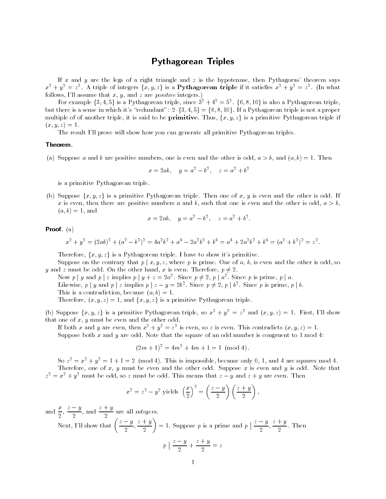## Pythagorean Triples

If x and y are the legs of a right triangle and z is the hypotenuse, then Pythagoras' theorem says  $x^2 + y^2 = z^2$ . A triple of integers  $\{x, y, z\}$  is a Pythagorean triple if it satisfies  $x^2 + y^2 = z^2$ . (In what follows, I'll assume that  $x, y$ , and  $z$  are *positive* integers.)

For example  $\{3,4,5\}$  is a Pythagorean triple, since  $3^2 + 4^2 = 5^2$ .  $\{6,8,10\}$  is also a Pythagorean triple, but there is a sense in which it's "redundant":  $2 \cdot \{3, 4, 5\} = \{6, 8, 10\}$ . If a Pythagorean triple is not a proper multiple of of another triple, it is said to be **primitive**. Thus,  $\{x, y, z\}$  is a primitive Pythagorean triple if  $\{w_1, y_1, w_1, \dots, w_n\}$ 

The result I'll prove will show how you can generate all primitive Pythagorean triples.

## Theorem-

 $\{a_i\}$  b appose a and  $\sigma$  are positive numbers, one is even and the other is odd,  $a \nearrow \sigma$ , and  $\{a_i \sigma\} = \bot$ . Then

$$
x = 2ab
$$
,  $y = a^2 - b^2$ ,  $z = a^2 + b^2$ 

is a primitive Pythagorean triple

(b) Suppose  $\{x, y, z\}$  is a primitive Pythagorean triple. Then one of x, y is even and the other is odd. If x is even, then there are positive numbers a and b, such that one is even and the other is odd,  $a > b$ .  $\mathfrak{g}(\alpha, \nu) = \mathfrak{t}, \text{ and}$ 

$$
x = 2ab
$$
,  $y = a^2 - b^2$ ,  $z = a^2 + b^2$ .

Proof- a

$$
x^{2} + y^{2} = (2ab)^{2} + (a^{2} - b^{2})^{2} = 4a^{2}b^{2} + a^{4} - 2a^{2}b^{2} + b^{4} = a^{4} + 2a^{2}b^{2} + b^{4} = (a^{2} + b^{2})^{2} = z^{2}.
$$

Therefore,  $\{x,y,z\}$  is a Pythagorean triple. I have to show it's primitive.

Suppose on the contrary that  $p \mid x, y, z$ , where p is prime. One of a, b, is even and the other is odd, so y and z must be odd. On the other hand, x is even. Therefore,  $p \neq 2$ .

Now p | y and p | z implies  $p \mid y + z = 2a^2$ . Since  $p \neq 2$ , p |  $a^2$ . Since p is prime, p | a. Likewise, p | y and p | z implies  $p \mid z - y = 2b^2$ . Since  $p \neq 2$ , p |  $b^2$ . Since p is prime, p | b.  $\blacksquare$  is a contradiction because  $\{w_1, v_1, \ldots, v_n\}$ 

Therefore,  $(x, y, z) = 1$ , and  $\{x, y, z\}$  is a primitive Pythagorean triple.

(b) Suppose  $\{x, y, z\}$  is a primitive Pythagorean triple, so  $x^2 + y^2 = z^2$  and  $(x, y, z) = 1$ . First, I'll show that one of  $x, y$  must be even and the other odd.

If both x and y are even, then  $x^+ + y^- = z^-$  is even, so z is even. This contradicts  $(x, y, z) = 1$ . Suppose both  $x$  and  $y$  are odd. Note that the square of an odd number is congruent to 1 mod 4:

$$
(2m+1)^2 = 4m^2 + 4m + 1 = 1 \pmod{4}.
$$

So  $z^2 = x^2 + y^2 = 1 + 1 = 2$  (mod 4). This is impossible, because only 0, 1, and 4 are squares mod 4. Therefore, one of x, y must be even and the other odd. Suppose x is even and y is odd. Note that  $z^{\perp} \equiv x^{\perp} + y^{\perp}$  must be odd, so z must be odd. This means that  $z = y$  and  $z + y$  are even. Then

$$
x^{2} = z^{2} - y^{2} \text{ yields } \left(\frac{x}{2}\right)^{2} = \left(\frac{z-y}{2}\right)\left(\frac{z+y}{2}\right),
$$

and  $\frac{x}{a}$ ,  $\frac{z-y}{a}$ , and  $\frac{z+y}{a}$  are all *integers*.

Next, I'll show that  $\left(\frac{z-y}{z}, \frac{z-y}{z}\right)$  $\left(\frac{-y}{2}, \frac{z+y}{2}\right) = 1$ . Suppose p is a prime and  $p \mid \frac{z-y}{2}, \frac{z-y}{2}$  $\frac{3}{2}$ ,  $\frac{1}{2}$ . T  $\mathbf 2$ <sup>p</sup>  $\frac{z - y}{z + 1}$  $\frac{y}{2} + \frac{y}{2} = z$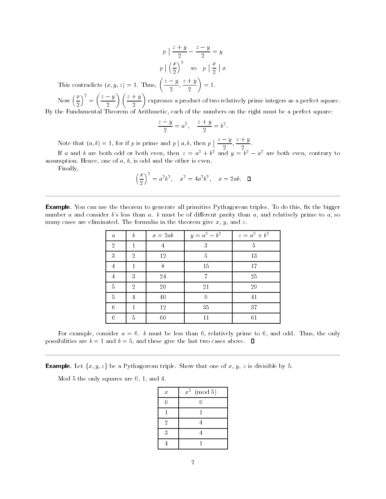$\sim$   $\sim$  $\frac{z+y}{2} - \frac{z-y}{2} = y$ 2  $\sim$   $\sim$ <sup>p</sup>  $\lfloor \left(\frac{x}{2}\right)^2 \rfloor$  $\frac{x}{2}$  x This contradicts  $(x, y, z) = 1$ . Thus,  $\left(\frac{z-y}{z}, \frac{z-z}{z}\right)$  $\left(\frac{-y}{2},\frac{z+y}{2}\right)=1.$ 

Now  $\left(\frac{x}{2}\right)^2 =$   $\left(\frac{z-y}{2}\right)\left(\frac{z+y}{2}\right)$  expresses a product of two relatively prime integers as a perfect square. By the Fundamental Theorem of Arithmetic, each of the numbers on the right must be a perfect square:

$$
\frac{z-y}{2}=a^2, \quad \frac{z+y}{2}=b^2.
$$

Note that  $(a, b) = 1$ , for if p is prime and p | a, b, then p |  $\frac{z - y}{z}$ ,  $\frac{z - z}{z}$  $\frac{3}{2}$ ,  $\frac{1}{2}$ .  $2 \qquad \qquad$ If a and b are both odd or both even, then  $z = a^- + b^-$  and  $y = b^- - a^-$  are both even, contrary to assumption. Hence, one of  $a, b$ , is odd and the other is even.

Finally

$$
\left(\frac{x}{2}\right)^2 = a^2b^2, \quad x^2 = 4a^2b^2, \quad x = 2ab. \quad \Box
$$

Example- You can use the theorem to generate all primitive Pythagorean triples To do this 
x the bigger number a and consider b's less than a. b must be of different parity than a, and relatively prime to a, so many cases are eliminated. The formulas in the theorem give  $x, y$ , and  $z$ .

| а              | b | $x=2ab$        | $y = a^2 - b^2$ | $z = a^2 + b^2$ |
|----------------|---|----------------|-----------------|-----------------|
| $\overline{2}$ | 1 | $\overline{4}$ | 3               | 5               |
| 3              | 2 | 12             | 5               | 13              |
| 4              | 1 | 8              | 15              | 17              |
| 4              | 3 | 24             |                 | 25              |
| 5              | 2 | 20             | 21              | 29              |
| 5              |   | 40             | 9               | 41              |
| 6              |   | 12             | 35              | 37              |
| 6              | 5 | 60             | 11              | 61              |

For example, consider  $a = 6$ . b must be less than 6, relatively prime to 6, and odd. Thus, the only possibilities are  $b = 1$  and  $b = 5$ , and these give the last two cases above.  $\Box$ 

**Example.** Let  $\{x, y, z\}$  be a Pythagorean triple. Show that one of x, y, z is divisible by 5.

Mod  $5$  the only squares are  $0, 1$ , and  $4$ .

| $\boldsymbol{x}$ | $x^2$<br>(mod 5) |
|------------------|------------------|
|                  | n                |
|                  |                  |
| $\overline{2}$   |                  |
| 3                |                  |
|                  |                  |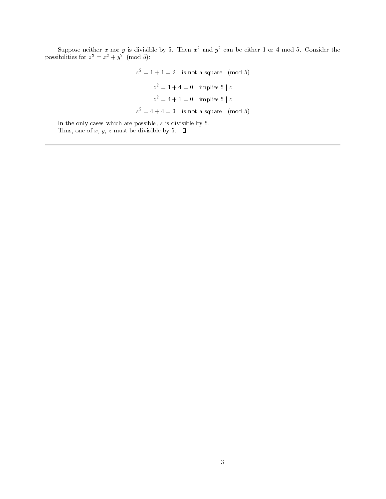Suppose neither  $x$  nor  $y$  is divisible by 5. Then  $x^\perp$  and  $y^\perp$  can be either 1 or 4 mod 5. Consider the possibilities for  $z^- = x^- + y^-$  (mod 5):

$$
z2 = 1 + 1 = 2
$$
 is not a square (mod 5)  

$$
z2 = 1 + 4 = 0
$$
 implies 5 | z  

$$
z2 = 4 + 1 = 0
$$
 implies 5 | z  

$$
z2 = 4 + 4 = 3
$$
 is not a square (mod 5)

In the only cases which are possible,  $z$  is divisible by  $5$ . Thus, one of  $x, y, z$  must be divisible by 5.  $\Box$ 

c -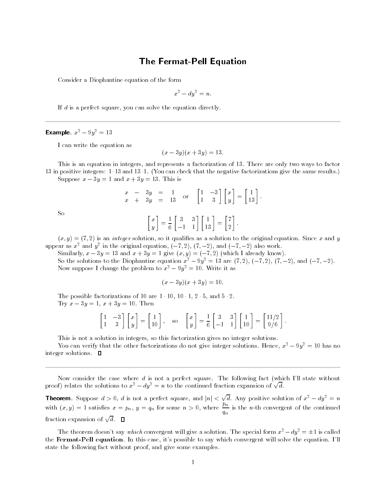## The Fermat-Pell Equation

Consider a Diophantine equation of the form

$$
x^2 - dy^2 = n.
$$

If  $d$  is a perfect square, you can solve the equation directly.

## **Example.**  $x^- - 9y^- = 15$

I can write the equation as

$$
(x - 3y)(x + 3y) = 13.
$$

This is an equation in integers, and represents a factorization of 13. There are only two ways to factor in dispersion integrate a station of the negative factorization in the same results and same results and same Suppose  $x - 3y = 1$  and  $x + 3y = 13$ . This is

$$
\begin{array}{rcl}\nx & - & 3y & = & 1 \\
x & + & 3y & = & 13\n\end{array} \quad \text{or} \quad\n\begin{bmatrix}\n1 & -3 \\
1 & 3\n\end{bmatrix}\n\begin{bmatrix}\nx \\
y\n\end{bmatrix} =\n\begin{bmatrix}\n1 \\
13\n\end{bmatrix}.
$$

-

So

$$
\begin{bmatrix} x \\ y \end{bmatrix} = \frac{1}{6} \begin{bmatrix} 3 & 3 \\ -1 & 1 \end{bmatrix} \begin{bmatrix} 1 \\ 13 \end{bmatrix} = \begin{bmatrix} 7 \\ 2 \end{bmatrix}.
$$

 $\{x_i, y_i\}$  . If  $i = j$  is an integer solution, so it qualifies as a solution to the original equation, since  $x$  and  $y$ appear as  $x^2$  and  $y^2$  in the original equation,  $(-7, 2)$ ,  $(7, -2)$ , and  $(-7, -2)$  also work.

 $\mathbb{C}$  interesting the  $\mathbb{C}$  summatrix  $\mathbb{C}$  is a set of  $\mathbb{C}$  , it is already to  $\mathbb{C}$  .

So the solutions to the Diophantine equation  $x^2 - 3y^2 = 13$  are  $(t, 2)$ ,  $(-t, 2)$ ,  $(t, -2)$ , and  $(-t, -2)$ . Now suppose I change the problem to  $x^2 - 9y^2 = 10$ . Write it as

$$
(x-3y)(x+3y) = 10.
$$

The possible factorizations of are - - - and - Try  $x - 3y = 1$ ,  $x + 3y = 10$ . Then

$$
\begin{bmatrix} 1 & -3 \\ 1 & 3 \end{bmatrix} \begin{bmatrix} x \\ y \end{bmatrix} = \begin{bmatrix} 1 \\ 10 \end{bmatrix}, \quad \text{so} \quad \begin{bmatrix} x \\ y \end{bmatrix} = \frac{1}{6} \begin{bmatrix} 3 & 3 \\ -1 & 1 \end{bmatrix} \begin{bmatrix} 1 \\ 10 \end{bmatrix} = \begin{bmatrix} 11/2 \\ 9/6 \end{bmatrix}.
$$

This is not a solution in integers, so this factorization gives no integer solutions.

You can verify that the other factorizations do not give integer solutions. Hence,  $x^2 - 9y^2 = 10$  has no integer solutions.  $\Box$ 

Now consider the case where  $d$  is not a perfect square. The following fact (which I'll state without proof) relates the solutions to  $x^2 - dy^2 = n$  to the continued fraction expansion of  $\sqrt{d}$ .

**Theorem.** Suppose  $d > 0$ , d is not a perfect square, and  $|n| < \sqrt{d}$ . Any positive solution of  $x^2 - dy^2 = n$ with  $(x, y) = 1$  satisfies  $x = p_n$ ,  $y = q_n$  for some  $n > 0$ , where  $\frac{r_n}{q_n}$  is the *n*-th convergent of the continued fraction expansion of  $\sqrt{d}$ .  $\Box$ 

The theorem doesn't say which convergent will give a solution. The special form  $x^2 - dy^2 = \pm 1$  is called end **Fermat Fen equation**. In this case, it s possible to say which convergent will solve the equation. I if state the following fact without proof, and give some examples.